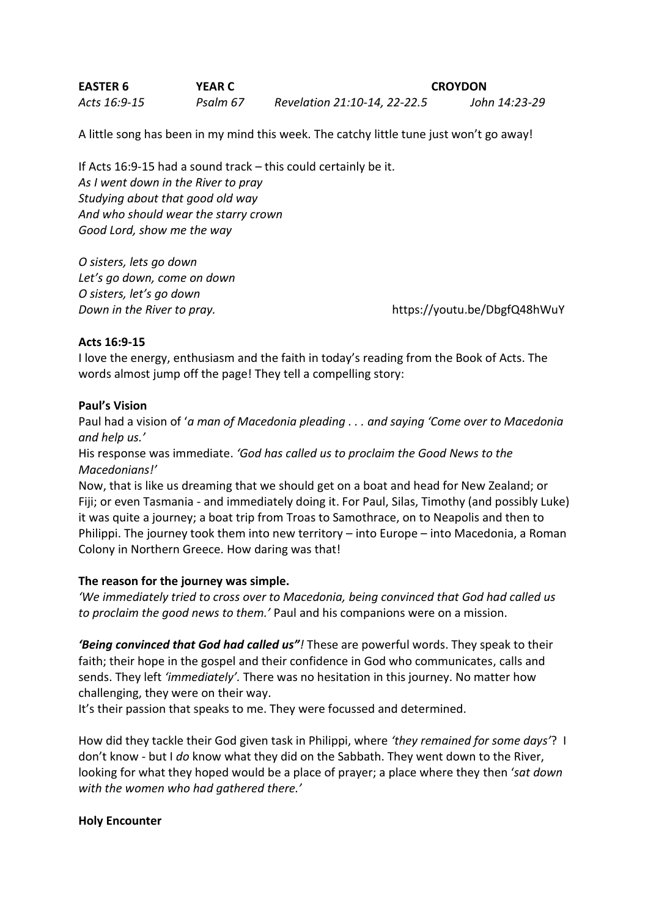| <b>EASTER 6</b> | <b>YEAR C</b> |                              | <b>CROYDON</b> |
|-----------------|---------------|------------------------------|----------------|
| Acts 16:9-15    | Psalm 67      | Revelation 21:10-14, 22-22.5 | John 14:23-29  |

A little song has been in my mind this week. The catchy little tune just won't go away!

If Acts 16:9-15 had a sound track – this could certainly be it. *As I went down in the River to pray Studying about that good old way And who should wear the starry crown Good Lord, show me the way* 

*O sisters, lets go down Let's go down, come on down O sisters, let's go down*

*Down in the River to pray.* https://youtu.be/DbgfQ48hWuY

### **Acts 16:9-15**

I love the energy, enthusiasm and the faith in today's reading from the Book of Acts. The words almost jump off the page! They tell a compelling story:

### **Paul's Vision**

Paul had a vision of '*a man of Macedonia pleading . . . and saying 'Come over to Macedonia and help us.'*

His response was immediate. *'God has called us to proclaim the Good News to the Macedonians!'*

Now, that is like us dreaming that we should get on a boat and head for New Zealand; or Fiji; or even Tasmania - and immediately doing it. For Paul, Silas, Timothy (and possibly Luke) it was quite a journey; a boat trip from Troas to Samothrace, on to Neapolis and then to Philippi. The journey took them into new territory – into Europe – into Macedonia, a Roman Colony in Northern Greece. How daring was that!

### **The reason for the journey was simple.**

*'We immediately tried to cross over to Macedonia, being convinced that God had called us to proclaim the good news to them.'* Paul and his companions were on a mission.

*'Being convinced that God had called us"!* These are powerful words. They speak to their faith; their hope in the gospel and their confidence in God who communicates, calls and sends. They left *'immediately'.* There was no hesitation in this journey. No matter how challenging, they were on their way.

It's their passion that speaks to me. They were focussed and determined.

How did they tackle their God given task in Philippi, where *'they remained for some days'*? I don't know - but I *do* know what they did on the Sabbath. They went down to the River, looking for what they hoped would be a place of prayer; a place where they then '*sat down with the women who had gathered there.'*

### **Holy Encounter**